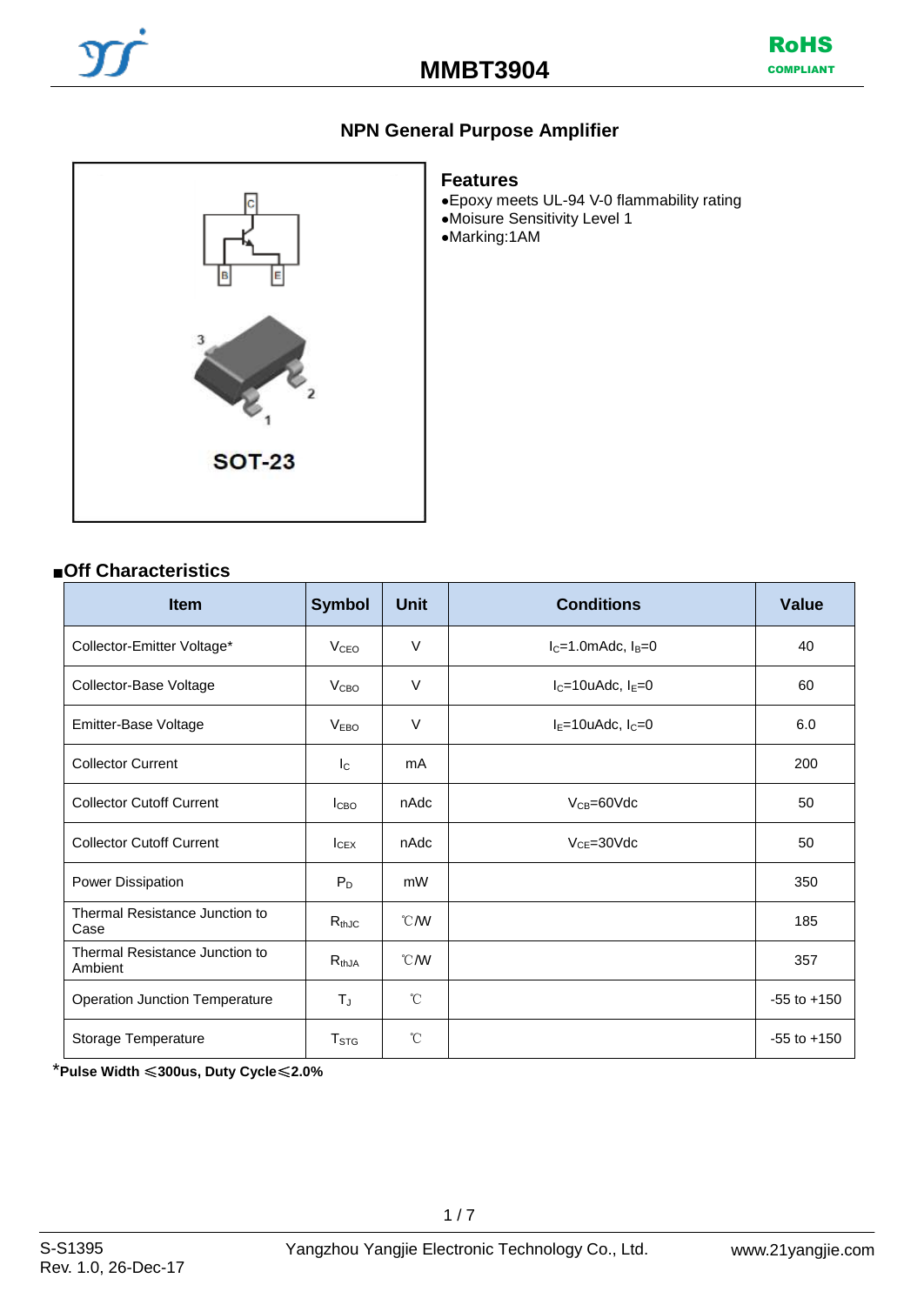





# **Features**

●Epoxy meets UL-94 V-0 flammability rating

- ●Moisure Sensitivity Level 1
- ●Marking:1AM

# ■**Off Characteristics**

| <b>Item</b>                               | <b>Symbol</b>          | <b>Unit</b>   | <b>Conditions</b>           | <b>Value</b>    |
|-------------------------------------------|------------------------|---------------|-----------------------------|-----------------|
| Collector-Emitter Voltage*                | <b>V<sub>CEO</sub></b> | $\vee$        | $I_C = 1.0$ mAdc, $I_B = 0$ | 40              |
| Collector-Base Voltage                    | V <sub>CBO</sub>       | $\vee$        | $I_C = 10u$ Adc, $I_E = 0$  | 60              |
| Emitter-Base Voltage                      | <b>VEBO</b>            | $\vee$        | $IE=10u$ Adc, $IC=0$        | 6.0             |
| <b>Collector Current</b>                  | $I_{\rm C}$            | mA            |                             | 200             |
| <b>Collector Cutoff Current</b>           | l <sub>CBO</sub>       | nAdc          | $V_{CB} = 60$ Vdc           | 50              |
| <b>Collector Cutoff Current</b>           | $I_{CEX}$              | nAdc          | $V_{CE} = 30$ Vdc           | 50              |
| Power Dissipation                         | $P_D$                  | mW            |                             | 350             |
| Thermal Resistance Junction to<br>Case    | $R_{thJC}$             | °C/W          |                             | 185             |
| Thermal Resistance Junction to<br>Ambient | $R_{thJA}$             | °C/W          |                             | 357             |
| <b>Operation Junction Temperature</b>     | $T_{\text{J}}$         | $^{\circ}$ C  |                             | $-55$ to $+150$ |
| Storage Temperature                       | T <sub>STG</sub>       | $\mathcal{C}$ |                             | $-55$ to $+150$ |

\***Pulse Width** ≤**300us, Duty Cycle**≤**2.0%**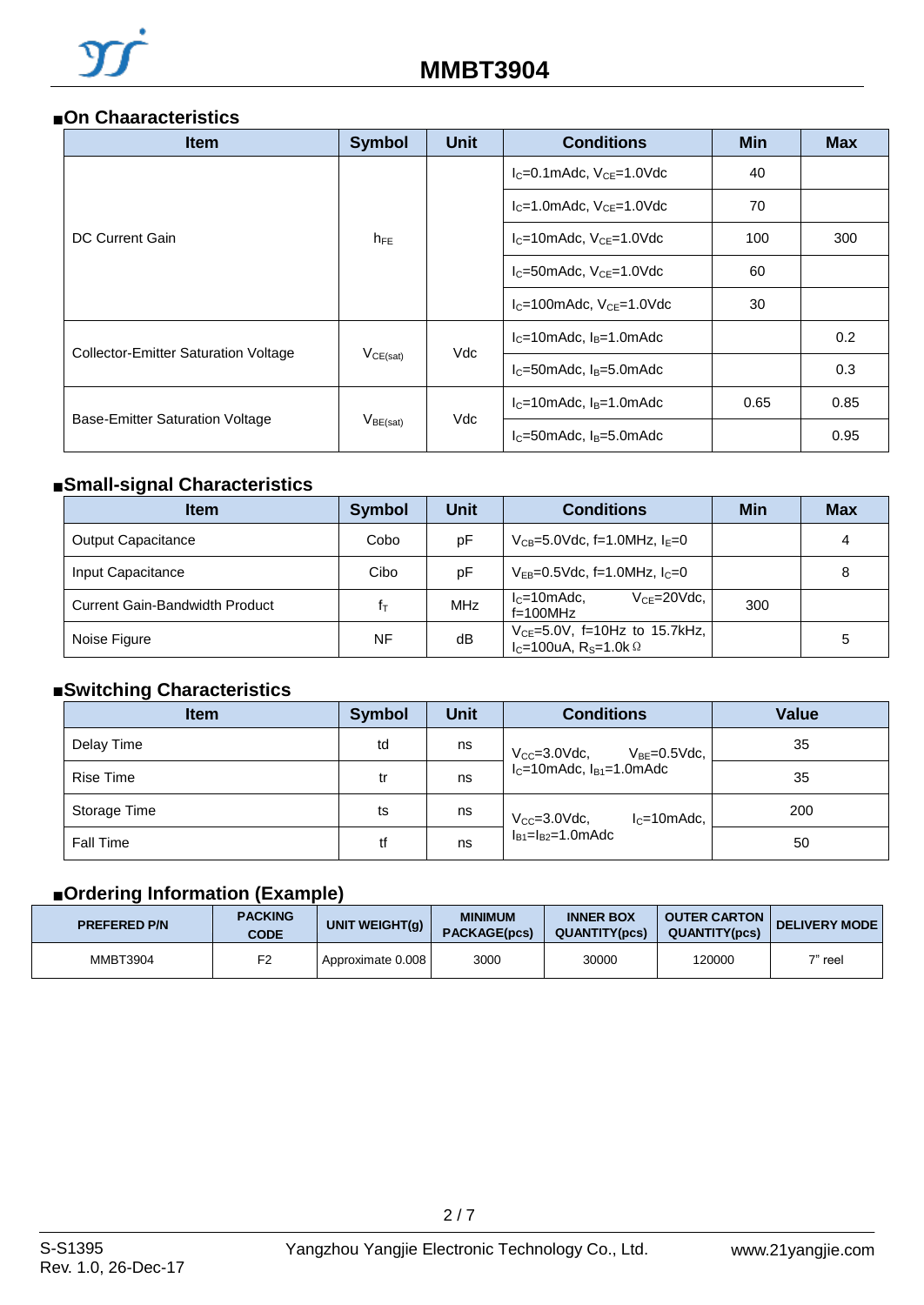#### ■**On Chaaracteristics**

| <b>Item</b>                                                                                       | <b>Symbol</b> | <b>Unit</b><br><b>Conditions</b><br>$I_C = 0.1$ mAdc, $V_{CE} = 1.0$ Vdc<br>$IC=1.0$ mAdc, $VCF=1.0$ Vdc<br>$I_C = 10$ mAdc, $V_{CE} = 1.0$ Vdc |                                      | <b>Min</b> | <b>Max</b> |
|---------------------------------------------------------------------------------------------------|---------------|-------------------------------------------------------------------------------------------------------------------------------------------------|--------------------------------------|------------|------------|
|                                                                                                   |               |                                                                                                                                                 |                                      | 40         |            |
| DC Current Gain<br><b>Collector-Emitter Saturation Voltage</b><br>Base-Emitter Saturation Voltage |               |                                                                                                                                                 |                                      | 70         |            |
|                                                                                                   | $h_{FE}$      |                                                                                                                                                 |                                      | 100        | 300        |
|                                                                                                   |               |                                                                                                                                                 | $I_c = 50$ mAdc, $V_{CE} = 1.0$ Vdc  | 60         |            |
|                                                                                                   |               |                                                                                                                                                 | $I_C = 100$ mAdc, $V_{CE} = 1.0$ Vdc | 30         |            |
|                                                                                                   |               | Vdc                                                                                                                                             | $lC=10mAdc, lB=1.0mAdc$              |            | 0.2        |
|                                                                                                   | $V_{CE(sat)}$ |                                                                                                                                                 | $IC=50$ mAdc, $IB=5.0$ mAdc          |            | 0.3        |
|                                                                                                   |               | Vdc                                                                                                                                             | $IC=10mAdc, IB=1.0mAdc$              | 0.65       | 0.85       |
|                                                                                                   | $V_{BE(sat)}$ |                                                                                                                                                 | $I_C = 50$ mAdc, $I_B = 5.0$ mAdc    | 0.95       |            |

# ■**Small-signal Characteristics**

| <b>Item</b>                    | <b>Symbol</b> | <b>Unit</b> | <b>Conditions</b>                                                                   | Min |   |  |
|--------------------------------|---------------|-------------|-------------------------------------------------------------------------------------|-----|---|--|
| <b>Output Capacitance</b>      | Cobo          | pF          | $V_{CB} = 5.0$ Vdc, f=1.0MHz, $I_F = 0$                                             |     | 4 |  |
| Input Capacitance              | Cibo          | pF          | $V_{FB} = 0.5$ Vdc, f=1.0MHz, $I_C = 0$                                             |     | 8 |  |
| Current Gain-Bandwidth Product | İт            | <b>MHz</b>  | $IC=10mAdc$<br>$V_{CF} = 20$ Vdc,<br>$f=100$ MHz                                    | 300 |   |  |
| Noise Figure                   | NF            | dB          | $V_{CE} = 5.0V$ , f=10Hz to 15.7kHz,<br>$I_C=100uA$ , R <sub>S</sub> =1.0k $\Omega$ |     | 5 |  |

### ■**Switching Characteristics**

| <b>Item</b>      | <b>Symbol</b> | <b>Unit</b> | <b>Conditions</b>                          | <b>Value</b> |  |
|------------------|---------------|-------------|--------------------------------------------|--------------|--|
| Delay Time       | td            | ns          | $V_{CC} = 3.0$ Vdc.<br>$V_{BE} = 0.5$ Vdc, | 35           |  |
| <b>Rise Time</b> | tr            | ns          | $IC=10$ mAdc, $IB1=1.0$ mAdc               | 35           |  |
| Storage Time     | ts            | ns          | $V_{CC} = 3.0$ Vdc,<br>$lc=10$ m $Adc$ .   | 200          |  |
| Fall Time        | tf            | ns          | $I_{B1} = I_{B2} = 1.0$ mAdc               | 50           |  |

# ■**Ordering Information (Example)**

| <b>PREFERED P/N</b> | <b>PACKING</b><br>CODE | <b>MINIMUM</b><br><b>INNER BOX</b><br>UNIT WEIGHT(g)<br><b>QUANTITY(pcs)</b><br><b>PACKAGE(pcs)</b> |      | <b>OUTER CARTON</b><br><b>QUANTITY(pcs)</b> | <b>DELIVERY MODE</b> |           |
|---------------------|------------------------|-----------------------------------------------------------------------------------------------------|------|---------------------------------------------|----------------------|-----------|
| <b>MMBT3904</b>     | F <sub>2</sub>         | Approximate 0.008                                                                                   | 3000 | 30000                                       | 120000               | $7"$ reel |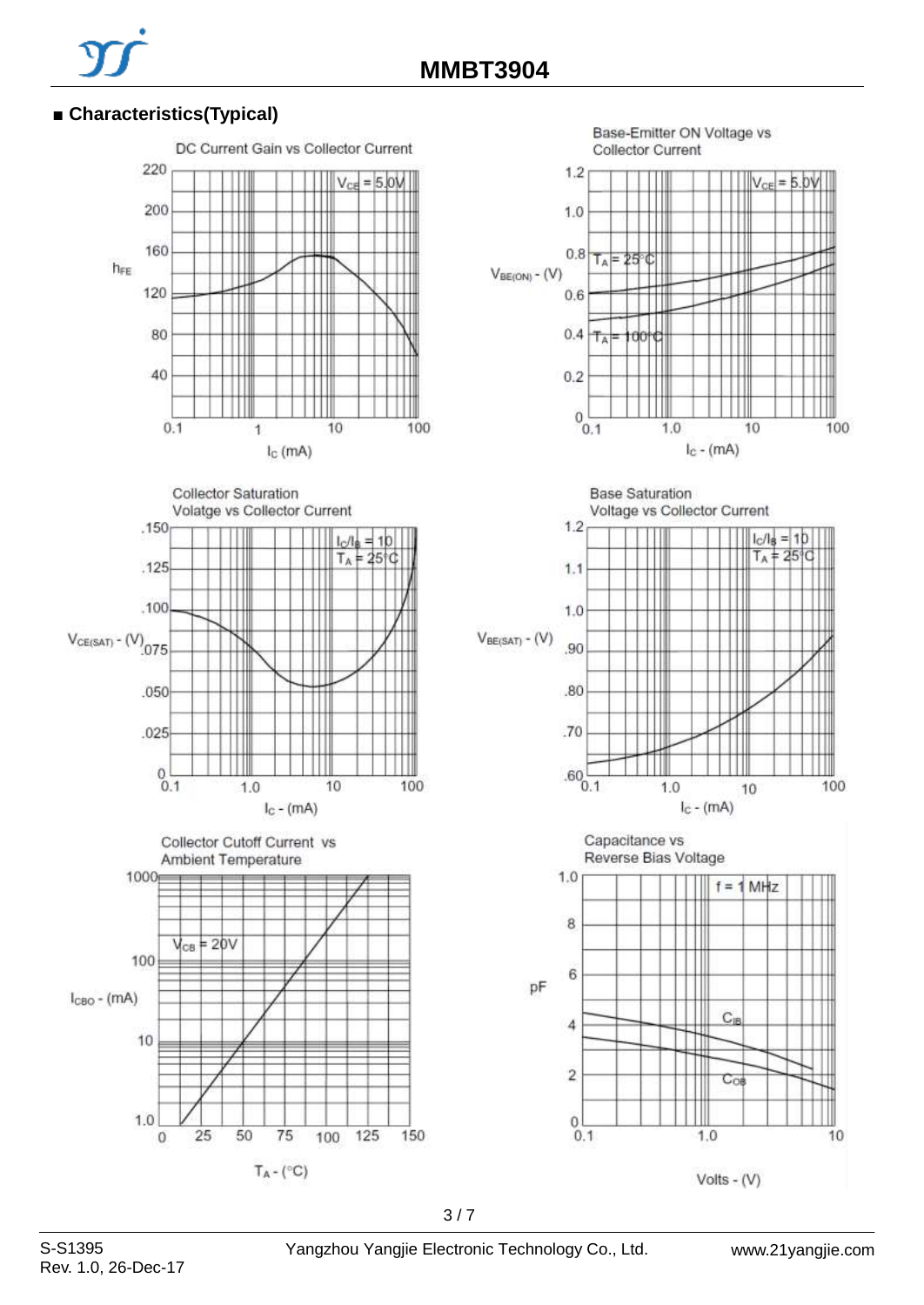# **■ Characteristics(Typical)**







Base-Emitter ON Voltage vs **Collector Current** 



**Base Saturation** 





S-S1395 Yangzhou Yangjie Electronic Technology Co., Ltd.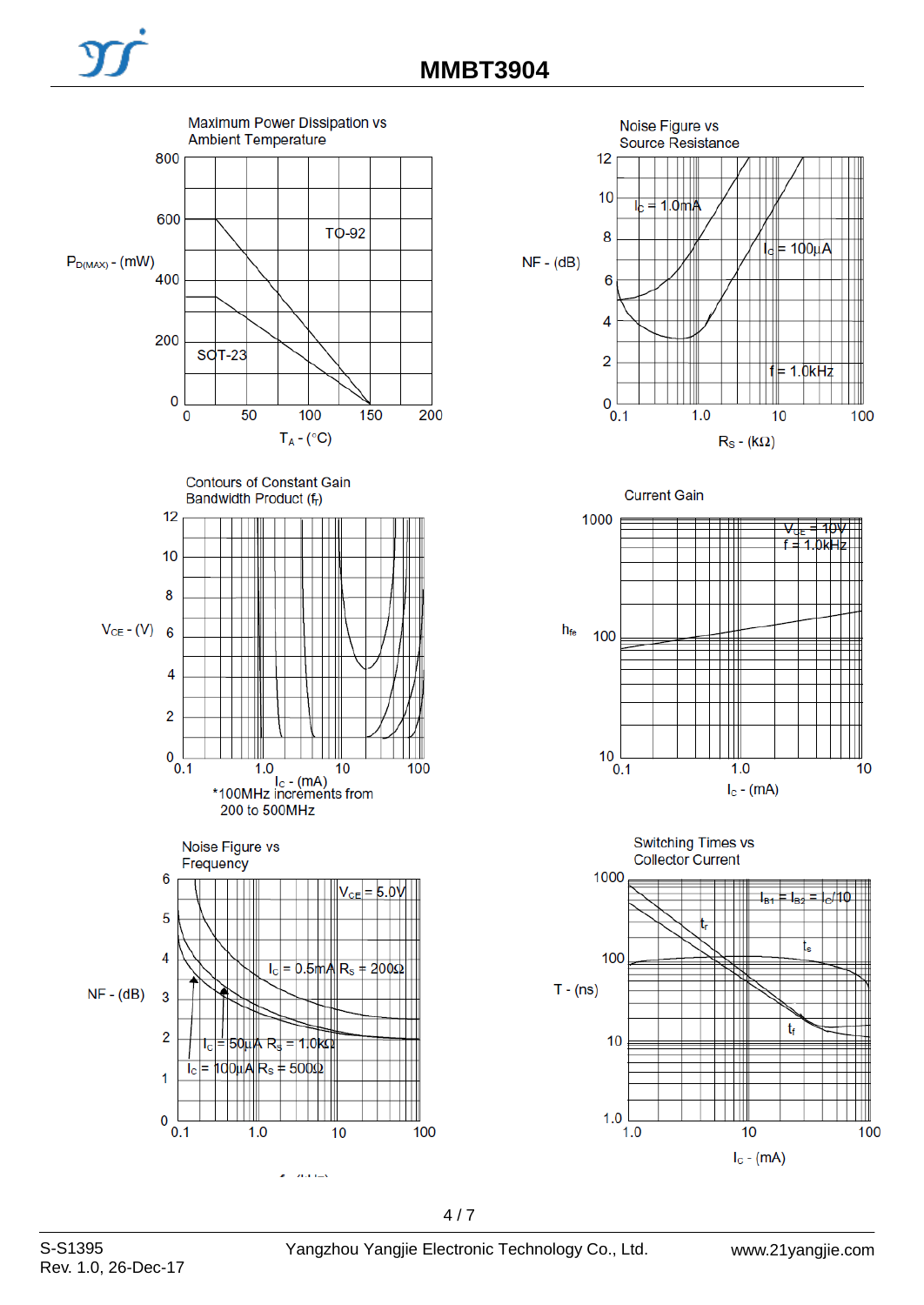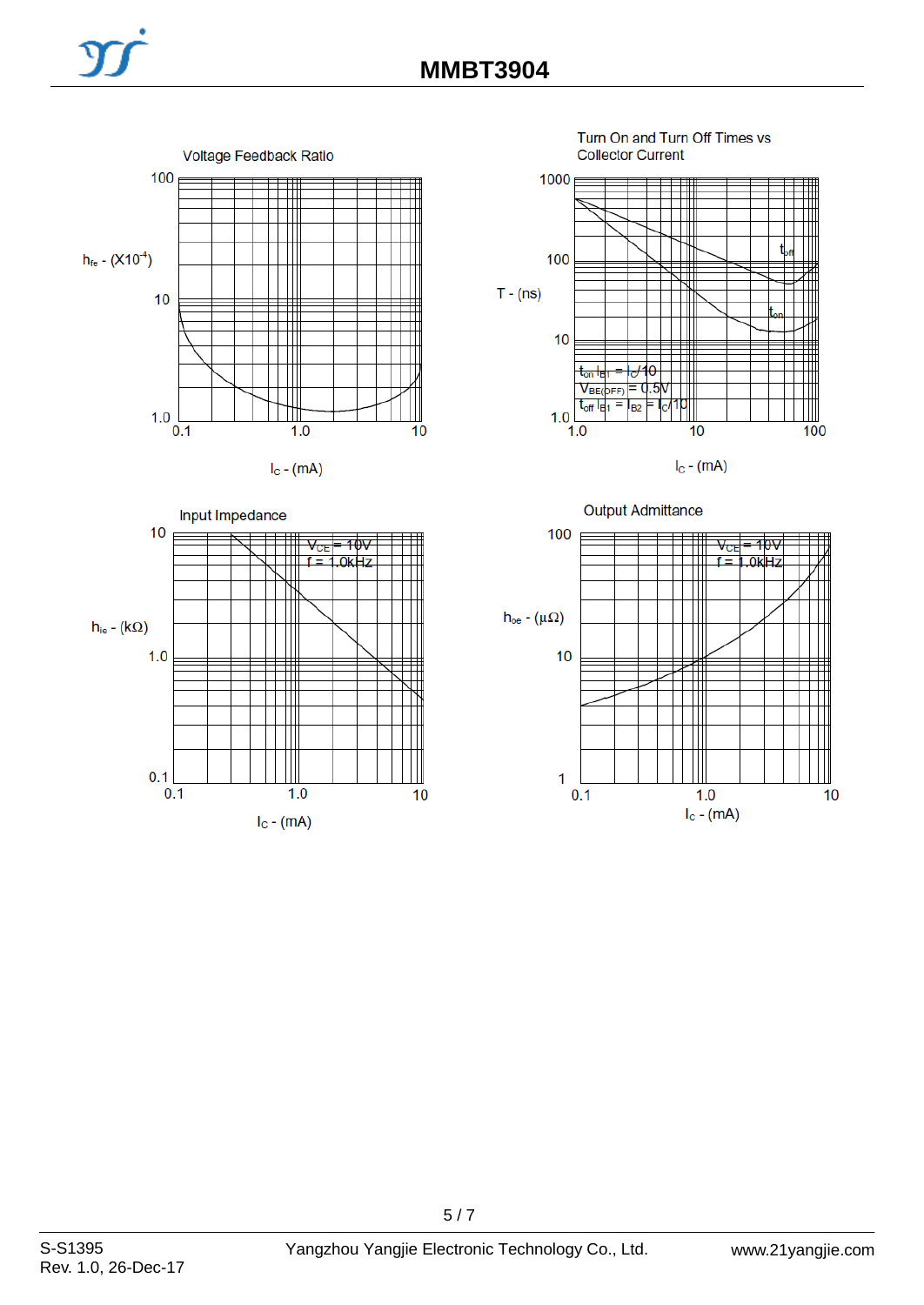





Turn On and Turn Off Times vs **Collector Current** 



 $I<sub>C</sub>$  - (mA)

**Output Admittance** 

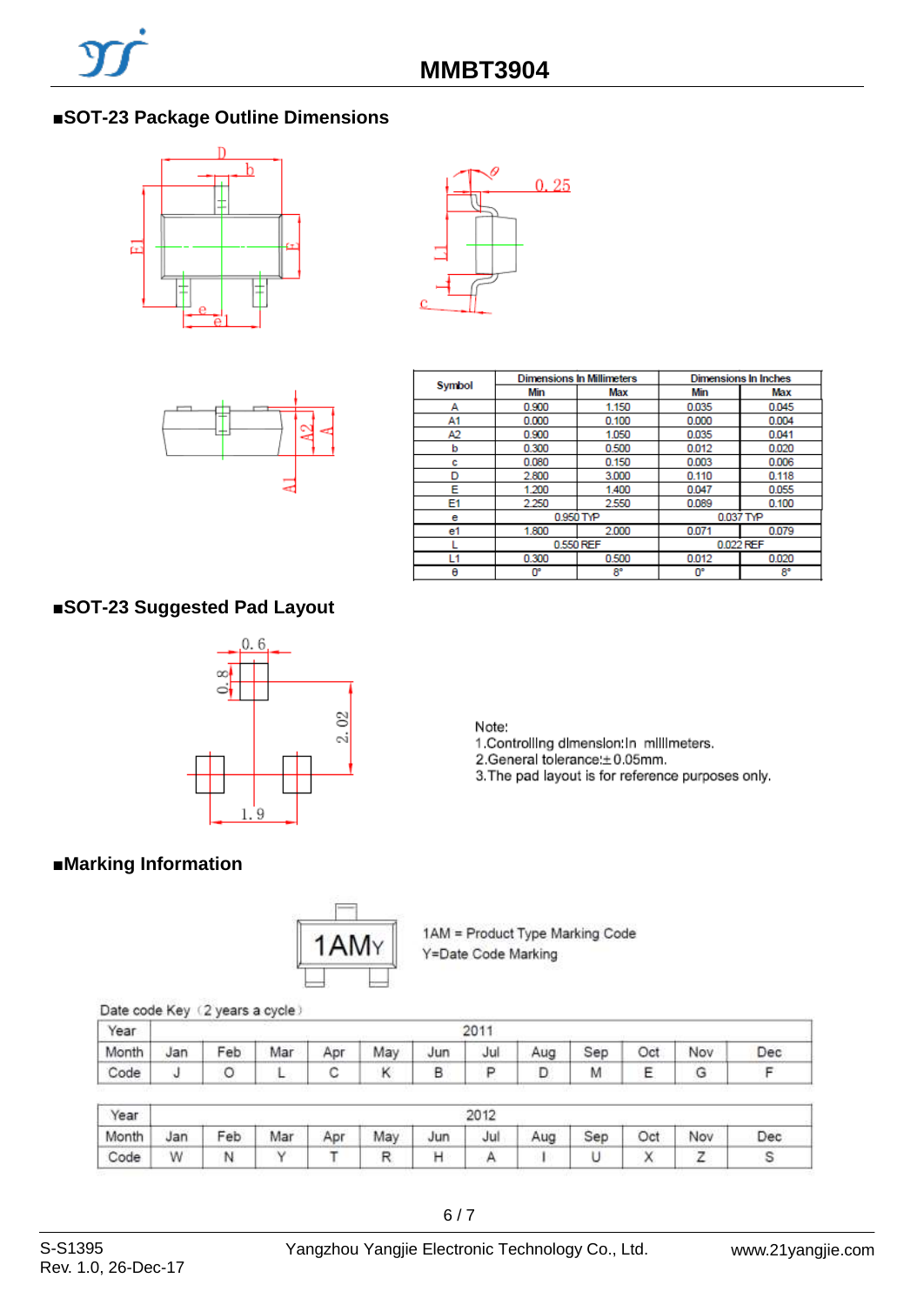# ■**SOT-23 Package Outline Dimensions**







|        |       | <b>Dimensions In Millimeters</b> | Dimensions In Inches |       |  |  |
|--------|-------|----------------------------------|----------------------|-------|--|--|
| Symbol | Min   | Max                              | Min                  | Max   |  |  |
| А      | 0.900 | 1.150                            | 0.035                | 0.045 |  |  |
| A1     | 0.000 | 0.100                            | 0.000                | 0.004 |  |  |
| A2     | 0.900 | 1.050                            | 0.035                | 0.041 |  |  |
| b      | 0.300 | 0.500                            | 0.012                | 0.020 |  |  |
| c      | 0.080 | 0.150                            | 0.003                | 0.006 |  |  |
| D      | 2.800 | 3,000                            | 0.110                | 0.118 |  |  |
| Е      | 1.200 | 1,400                            | 0.047                | 0.055 |  |  |
| E1     | 2.250 | 2.550                            | 0.089                | 0.100 |  |  |
| е      |       | 0.950 TYP                        | 0.037 TYP            |       |  |  |
| e1     | 1.800 | 2.000                            | 0.071                | 0.079 |  |  |
|        |       | 0.550 REF                        | 0.022 REF            |       |  |  |
| l 1    | 0.300 | 0.500                            | 0.012                | 0.020 |  |  |
| θ      | O۴    | 8°                               | 0°                   | 8°    |  |  |

# **■SOT-23 Suggested Pad Layout**



Note:

1. Controlling dimension: in millimeters.

2.General tolerance: ±0.05mm.

3. The pad layout is for reference purposes only.

# **■Marking Information**



1AM = Product Type Marking Code Y=Date Code Marking

#### Date code Key (2 years a cycle)

| Year  | 201' |     |     |     |     |     |     |     |     |     |     |     |
|-------|------|-----|-----|-----|-----|-----|-----|-----|-----|-----|-----|-----|
| Month | Jan  | Feb | Mar | Apr | May | Jun | Jul | Aug | Sep | Oct | Nov | Dec |
| Code  |      |     |     |     |     |     |     |     | M   |     |     |     |

| Year  | 2012 |     |     |     |     |     |     |     |     |     |     |     |
|-------|------|-----|-----|-----|-----|-----|-----|-----|-----|-----|-----|-----|
| Month | Jan  | Feb | Mar | Apr | May | Jun | Jul | Aug | Sep | Oct | Nov | Dec |
| Code  | W    | N   |     |     |     |     |     |     |     |     |     |     |